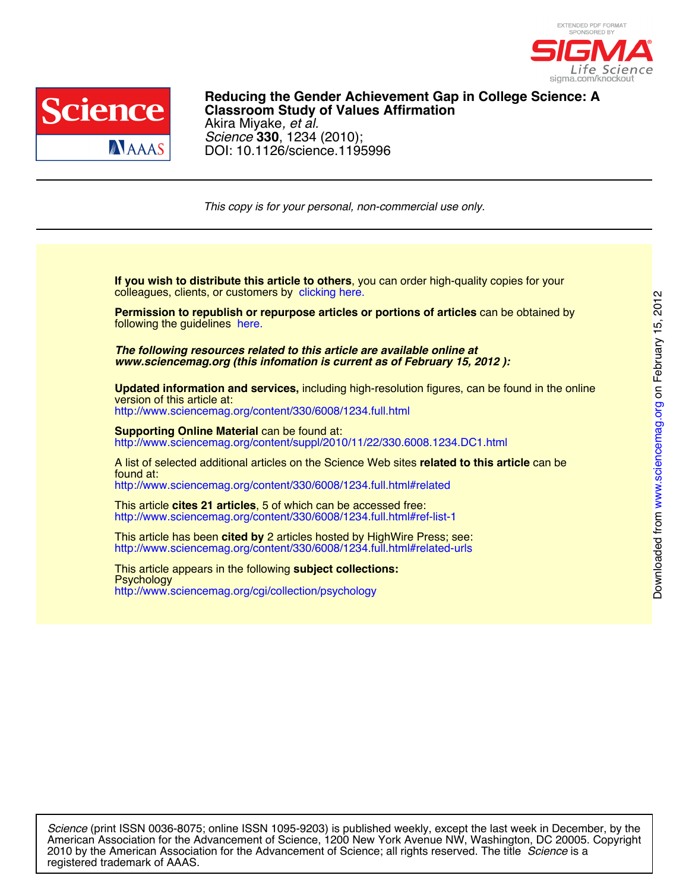



DOI: 10.1126/science.1195996 *Science* **330**, 1234 (2010); Akira Miyake*, et al.* **Classroom Study of Values Affirmation Reducing the Gender Achievement Gap in College Science: A**

*This copy is for your personal, non-commercial use only.*

colleagues, clients, or customers by [clicking here.](http://www.sciencemag.org/about/permissions.dtl) **If you wish to distribute this article to others**, you can order high-quality copies for your

following the guidelines [here.](http://www.sciencemag.org/about/permissions.dtl) **Permission to republish or repurpose articles or portions of articles** can be obtained by

*www.sciencemag.org (this infomation is current as of February 15, 2012 ): The following resources related to this article are available online at*

<http://www.sciencemag.org/content/330/6008/1234.full.html> version of this article at: **Updated information and services,** including high-resolution figures, can be found in the online

http://www.sciencemag.org/content/suppl/2010/11/22/330.6008.1234.DC1.html **Supporting Online Material can be found at:** 

<http://www.sciencemag.org/content/330/6008/1234.full.html#related> found at: A list of selected additional articles on the Science Web sites **related to this article** can be

<http://www.sciencemag.org/content/330/6008/1234.full.html#ref-list-1> This article **cites 21 articles**, 5 of which can be accessed free:

<http://www.sciencemag.org/content/330/6008/1234.full.html#related-urls> This article has been **cited by** 2 articles hosted by HighWire Press; see:

<http://www.sciencemag.org/cgi/collection/psychology> **Psychology** This article appears in the following **subject collections:**

registered trademark of AAAS. 2010 by the American Association for the Advancement of Science; all rights reserved. The title *Science* is a American Association for the Advancement of Science, 1200 New York Avenue NW, Washington, DC 20005. Copyright *Science* (print ISSN 0036-8075; online ISSN 1095-9203) is published weekly, except the last week in December, by the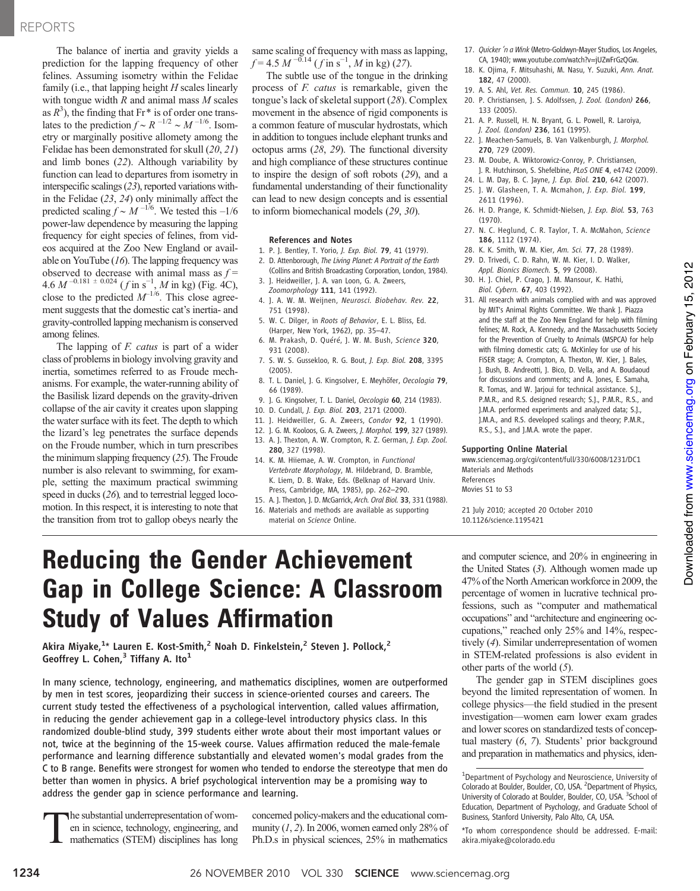# REPORTS

The balance of inertia and gravity yields a prediction for the lapping frequency of other felines. Assuming isometry within the Felidae family (i.e., that lapping height  $H$  scales linearly with tongue width  $R$  and animal mass  $M$  scales as  $R^3$ ), the finding that Fr<sup>\*</sup> is of order one translates to the prediction  $f \sim R^{-1/2} \sim M^{-1/6}$ . Isometry or marginally positive allomety among the Felidae has been demonstrated for skull (20, 21) and limb bones (22). Although variability by function can lead to departures from isometry in interspecific scalings (23), reported variations within the Felidae (23, 24) only minimally affect the predicted scaling  $f \sim M^{-1/6}$ . We tested this –1/6 power-law dependence by measuring the lapping frequency for eight species of felines, from videos acquired at the Zoo New England or available on YouTube  $(16)$ . The lapping frequency was observed to decrease with animal mass as  $f =$  $4.6 M^{-0.181 \pm 0.024}$  (*f* in s<sup>-1</sup>, *M* in kg) (Fig. 4C), close to the predicted  $M^{-1/6}$ . This close agreement suggests that the domestic cat's inertia- and gravity-controlled lapping mechanism is conserved among felines.

The lapping of *F. catus* is part of a wider class of problems in biology involving gravity and inertia, sometimes referred to as Froude mechanisms. For example, the water-running ability of the Basilisk lizard depends on the gravity-driven collapse of the air cavity it creates upon slapping the water surface with its feet. The depth to which the lizard's leg penetrates the surface depends on the Froude number, which in turn prescribes the minimum slapping frequency (25). The Froude number is also relevant to swimming, for example, setting the maximum practical swimming speed in ducks (26), and to terrestrial legged locomotion. In this respect, it is interesting to note that the transition from trot to gallop obeys nearly the

same scaling of frequency with mass as lapping,  $f = 4.5 M^{-0.14} (f \text{ in s}^{-1}, M \text{ in kg})$  (27).

The subtle use of the tongue in the drinking process of F. catus is remarkable, given the tongue's lack of skeletal support (28). Complex movement in the absence of rigid components is a common feature of muscular hydrostats, which in addition to tongues include elephant trunks and octopus arms (28, 29). The functional diversity and high compliance of these structures continue to inspire the design of soft robots (29), and a fundamental understanding of their functionality can lead to new design concepts and is essential to inform biomechanical models (29, 30).

### References and Notes

- 1. P. J. Bentley, T. Yorio, J. Exp. Biol. 79, 41 (1979).
- 2. D. Attenborough, The Living Planet: A Portrait of the Earth (Collins and British Broadcasting Corporation, London, 1984).
- 3. J. Heidweiller, J. A. van Loon, G. A. Zweers, Zoomorphology 111, 141 (1992).
- 4. J. A. W. M. Weijnen, Neurosci. Biobehav. Rev. 22, 751 (1998).
- 5. W. C. Dilger, in Roots of Behavior, E. L. Bliss, Ed. (Harper, New York, 1962), pp. 35–47.
- 6. M. Prakash, D. Quéré, J. W. M. Bush, Science 320, 931 (2008).
- 7. S. W. S. Gussekloo, R. G. Bout, J. Exp. Biol. 208, 3395 (2005).
- 8. T. L. Daniel, J. G. Kingsolver, E. Meyhöfer, Oecologia 79, 66 (1989).
- 9. J. G. Kingsolver, T. L. Daniel, Oecologia 60, 214 (1983).
- 10. D. Cundall, J. Exp. Biol. 203, 2171 (2000).
- 11. J. Heidweiller, G. A. Zweers, Condor 92, 1 (1990).
- 12. J. G. M. Kooloos, G. A. Zweers, J. Morphol. 199, 327 (1989).
- 13. A. J. Thexton, A. W. Crompton, R. Z. German, J. Exp. Zool. 280, 327 (1998).
- 14. K. M. Hiiemae, A. W. Crompton, in Functional Vertebrate Morphology, M. Hildebrand, D. Bramble, K. Liem, D. B. Wake, Eds. (Belknap of Harvard Univ. Press, Cambridge, MA, 1985), pp. 262–290.
- 15. A. J. Thexton, J. D. McGarrick, Arch. Oral Biol. 33, 331 (1988).
- 16. Materials and methods are available as supporting
- 17. Quicker 'n a Wink (Metro-Goldwyn-Mayer Studios, Los Angeles, CA, 1940); www.youtube.com/watch?v=jUZwFrGzQGw.
- 18. K. Ojima, F. Mitsuhashi, M. Nasu, Y. Suzuki, Ann. Anat. 182, 47 (2000).
- 19. A. S. Ahl, Vet. Res. Commun. 10, 245 (1986).
- 20. P. Christiansen, J. S. Adolfssen, J. Zool. (London) 266, 133 (2005).
- 21. A. P. Russell, H. N. Bryant, G. L. Powell, R. Laroiya, J. Zool. (London) 236, 161 (1995).
- 22. J. Meachen-Samuels, B. Van Valkenburgh, J. Morphol. 270, 729 (2009).
- 23. M. Doube, A. Wiktorowicz-Conroy, P. Christiansen, J. R. Hutchinson, S. Shefelbine, PLoS ONE 4, e4742 (2009).
- 24. L. M. Day, B. C. Jayne, J. Exp. Biol. 210, 642 (2007). 25. J. W. Glasheen, T. A. Mcmahon, J. Exp. Biol. 199,
- 2611 (1996). 26. H. D. Prange, K. Schmidt-Nielsen, J. Exp. Biol. 53, 763
- (1970).
- 27. N. C. Heglund, C. R. Taylor, T. A. McMahon, Science 186, 1112 (1974).
- 28. K. K. Smith, W. M. Kier, Am. Sci. 77, 28 (1989).
- 29. D. Trivedi, C. D. Rahn, W. M. Kier, I. D. Walker, Appl. Bionics Biomech. 5, 99 (2008).
- 30. H. J. Chiel, P. Crago, J. M. Mansour, K. Hathi, Biol. Cybern. 67, 403 (1992).
- 31. All research with animals complied with and was approved by MIT's Animal Rights Committee. We thank J. Piazza and the staff at the Zoo New England for help with filming felines; M. Rock, A. Kennedy, and the Massachusetts Society for the Prevention of Cruelty to Animals (MSPCA) for help with filming domestic cats; G. McKinley for use of his FiSER stage; A. Crompton, A. Thexton, W. Kier, J. Bales, J. Bush, B. Andreotti, J. Bico, D. Vella, and A. Boudaoud for discussions and comments; and A. Jones, E. Samaha, R. Tomas, and W. Jarjoui for technical assistance. S.J., P.M.R., and R.S. designed research; S.J., P.M.R., R.S., and J.M.A. performed experiments and analyzed data; S.J., J.M.A., and R.S. developed scalings and theory; P.M.R., R.S., S.J., and J.M.A. wrote the paper.

## Supporting Online Material

www.sciencemag.org/cgi/content/full/330/6008/1231/DC1 Materials and Methods References

Movies S1 to S3

21 July 2010; accepted 20 October 2010 10.1126/science.1195421

# Reducing the Gender Achievement Gap in College Science: A Classroom Study of Values Affirmation

Akira Miyake, $^{1_\star}$  Lauren E. Kost-Smith, $^2$  Noah D. Finkelstein, $^2$  Steven J. Pollock, $^2$ Geoffrey L. Cohen,<sup>3</sup> Tiffany A. Ito<sup>1</sup>

In many science, technology, engineering, and mathematics disciplines, women are outperformed by men in test scores, jeopardizing their success in science-oriented courses and careers. The current study tested the effectiveness of a psychological intervention, called values affirmation, in reducing the gender achievement gap in a college-level introductory physics class. In this randomized double-blind study, 399 students either wrote about their most important values or not, twice at the beginning of the 15-week course. Values affirmation reduced the male-female performance and learning difference substantially and elevated women's modal grades from the C to B range. Benefits were strongest for women who tended to endorse the stereotype that men do better than women in physics. A brief psychological intervention may be a promising way to address the gender gap in science performance and learning.

The substantial underrepresentation of wom-<br>en in science, technology, engineering, and<br>mathematics (STEM) disciplines has long en in science, technology, engineering, and mathematics (STEM) disciplines has long

concerned policy-makers and the educational community  $(1, 2)$ . In 2006, women earned only 28% of Ph.D.s in physical sciences, 25% in mathematics

and computer science, and 20% in engineering in the United States (3). Although women made up 47% of the North American workforce in 2009, the percentage of women in lucrative technical professions, such as "computer and mathematical occupations" and "architecture and engineering occupations," reached only 25% and 14%, respectively (4). Similar underrepresentation of women in STEM-related professions is also evident in other parts of the world  $(5)$ .

The gender gap in STEM disciplines goes beyond the limited representation of women. In college physics—the field studied in the present investigation—women earn lower exam grades and lower scores on standardized tests of conceptual mastery (6, 7). Students' prior background and preparation in mathematics and physics, iden-

material on Science Online.

<sup>&</sup>lt;sup>1</sup>Department of Psychology and Neuroscience, University of Colorado at Boulder, Boulder, CO, USA. <sup>2</sup>Department of Physics, University of Colorado at Boulder, Boulder, CO, USA. <sup>3</sup>School of Education, Department of Psychology, and Graduate School of Business, Stanford University, Palo Alto, CA, USA.

<sup>\*</sup>To whom correspondence should be addressed. E-mail: akira.miyake@colorado.edu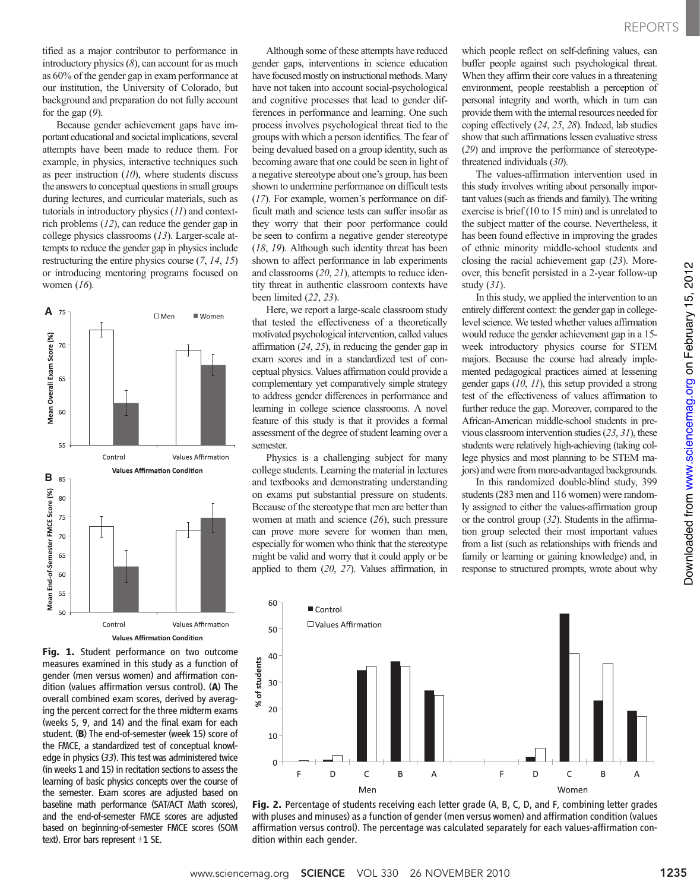tified as a major contributor to performance in introductory physics  $(8)$ , can account for as much as 60% of the gender gap in exam performance at our institution, the University of Colorado, but background and preparation do not fully account for the gap  $(9)$ .

Because gender achievement gaps have important educational and societal implications, several attempts have been made to reduce them. For example, in physics, interactive techniques such as peer instruction  $(10)$ , where students discuss the answers to conceptual questions in small groups during lectures, and curricular materials, such as tutorials in introductory physics (11) and contextrich problems (12), can reduce the gender gap in college physics classrooms (13). Larger-scale attempts to reduce the gender gap in physics include restructuring the entire physics course (7, 14, 15) or introducing mentoring programs focused on women  $(16)$ .



Fig. 1. Student performance on two outcome measures examined in this study as a function of gender (men versus women) and affirmation condition (values affirmation versus control). (A) The overall combined exam scores, derived by averaging the percent correct for the three midterm exams (weeks 5, 9, and 14) and the final exam for each student. (B) The end-of-semester (week 15) score of the FMCE, a standardized test of conceptual knowledge in physics (33). This test was administered twice (in weeks 1 and 15) in recitation sections to assess the learning of basic physics concepts over the course of the semester. Exam scores are adjusted based on baseline math performance (SAT/ACT Math scores), and the end-of-semester FMCE scores are adjusted based on beginning-of-semester FMCE scores (SOM text). Error bars represent  $\pm 1$  SE.

Although some of these attempts have reduced gender gaps, interventions in science education have focused mostly on instructional methods. Many have not taken into account social-psychological and cognitive processes that lead to gender differences in performance and learning. One such process involves psychological threat tied to the groups with which a person identifies. The fear of being devalued based on a group identity, such as becoming aware that one could be seen in light of a negative stereotype about one's group, has been shown to undermine performance on difficult tests (17). For example, women's performance on difficult math and science tests can suffer insofar as they worry that their poor performance could be seen to confirm a negative gender stereotype (18, 19). Although such identity threat has been shown to affect performance in lab experiments and classrooms (20, 21), attempts to reduce identity threat in authentic classroom contexts have been limited (22, 23).

Here, we report a large-scale classroom study that tested the effectiveness of a theoretically motivated psychological intervention, called values affirmation (24, 25), in reducing the gender gap in exam scores and in a standardized test of conceptual physics. Values affirmation could provide a complementary yet comparatively simple strategy to address gender differences in performance and learning in college science classrooms. A novel feature of this study is that it provides a formal assessment of the degree of student learning over a semester.

Physics is a challenging subject for many college students. Learning the material in lectures and textbooks and demonstrating understanding on exams put substantial pressure on students. Because of the stereotype that men are better than women at math and science (26), such pressure can prove more severe for women than men, especially for women who think that the stereotype might be valid and worry that it could apply or be applied to them (20, 27). Values affirmation, in

which people reflect on self-defining values, can buffer people against such psychological threat. When they affirm their core values in a threatening environment, people reestablish a perception of personal integrity and worth, which in turn can provide them with the internal resources needed for coping effectively (24, 25, 28). Indeed, lab studies show that such affirmations lessen evaluative stress (29) and improve the performance of stereotypethreatened individuals (30).

The values-affirmation intervention used in this study involves writing about personally important values (such as friends and family). The writing exercise is brief (10 to 15 min) and is unrelated to the subject matter of the course. Nevertheless, it has been found effective in improving the grades of ethnic minority middle-school students and closing the racial achievement gap (23). Moreover, this benefit persisted in a 2-year follow-up study (31).

In this study, we applied the intervention to an entirely different context: the gender gap in collegelevel science. We tested whether values affirmation would reduce the gender achievement gap in a 15 week introductory physics course for STEM majors. Because the course had already implemented pedagogical practices aimed at lessening gender gaps (10, 11), this setup provided a strong test of the effectiveness of values affirmation to further reduce the gap. Moreover, compared to the African-American middle-school students in previous classroom intervention studies (23, 31), these students were relatively high-achieving (taking college physics and most planning to be STEM majors) and were from more-advantaged backgrounds.

In this randomized double-blind study, 399 students (283 men and 116 women) were randomly assigned to either the values-affirmation group or the control group  $(32)$ . Students in the affirmation group selected their most important values from a list (such as relationships with friends and family or learning or gaining knowledge) and, in response to structured prompts, wrote about why



Fig. 2. Percentage of students receiving each letter grade (A, B, C, D, and F, combining letter grades with pluses and minuses) as a function of gender (men versus women) and affirmation condition (values affirmation versus control). The percentage was calculated separately for each values-affirmation condition within each gender.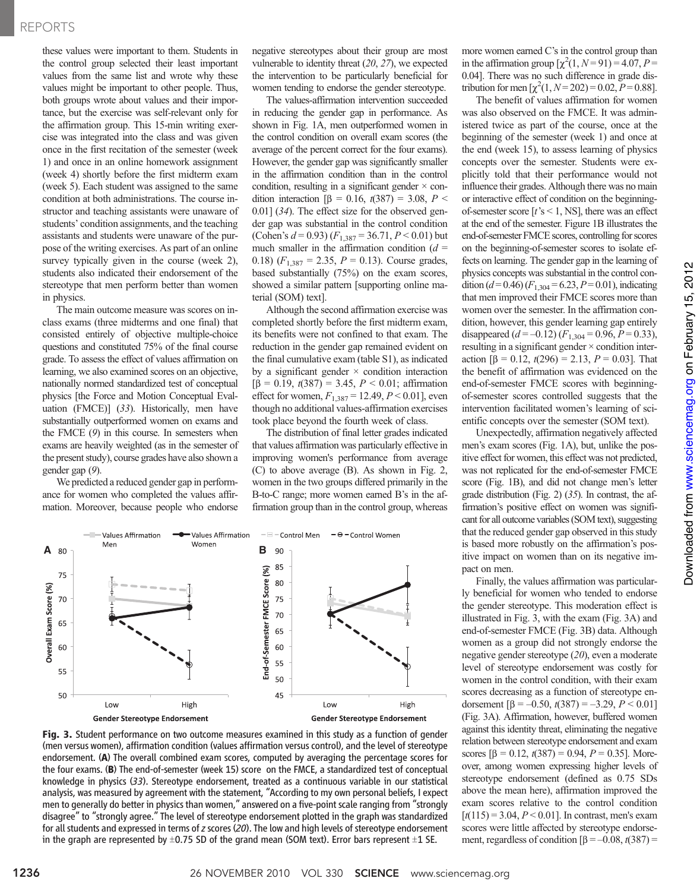# REPORTS

these values were important to them. Students in the control group selected their least important values from the same list and wrote why these values might be important to other people. Thus, both groups wrote about values and their importance, but the exercise was self-relevant only for the affirmation group. This 15-min writing exercise was integrated into the class and was given once in the first recitation of the semester (week 1) and once in an online homework assignment (week 4) shortly before the first midterm exam (week 5). Each student was assigned to the same condition at both administrations. The course instructor and teaching assistants were unaware of students' condition assignments, and the teaching assistants and students were unaware of the purpose of the writing exercises. As part of an online survey typically given in the course (week 2), students also indicated their endorsement of the stereotype that men perform better than women in physics.

The main outcome measure was scores on inclass exams (three midterms and one final) that consisted entirely of objective multiple-choice questions and constituted 75% of the final course grade. To assess the effect of values affirmation on learning, we also examined scores on an objective, nationally normed standardized test of conceptual physics [the Force and Motion Conceptual Evaluation (FMCE)] (33). Historically, men have substantially outperformed women on exams and the FMCE (9) in this course. In semesters when exams are heavily weighted (as in the semester of the present study), course grades have also shown a gender gap (9).

We predicted a reduced gender gap in performance for women who completed the values affirmation. Moreover, because people who endorse

negative stereotypes about their group are most vulnerable to identity threat (20, 27), we expected the intervention to be particularly beneficial for women tending to endorse the gender stereotype.

The values-affirmation intervention succeeded in reducing the gender gap in performance. As shown in Fig. 1A, men outperformed women in the control condition on overall exam scores (the average of the percent correct for the four exams). However, the gender gap was significantly smaller in the affirmation condition than in the control condition, resulting in a significant gender  $\times$  condition interaction  $[\beta = 0.16, t(387) = 3.08, P <$ 0.01] (34). The effect size for the observed gender gap was substantial in the control condition (Cohen's  $d = 0.93$ )  $(F_{1,387} = 36.71, P < 0.01)$  but much smaller in the affirmation condition  $(d =$ 0.18)  $(F_{1,387} = 2.35, P = 0.13)$ . Course grades, based substantially (75%) on the exam scores, showed a similar pattern [supporting online material (SOM) text].

Although the second affirmation exercise was completed shortly before the first midterm exam, its benefits were not confined to that exam. The reduction in the gender gap remained evident on the final cumulative exam (table S1), as indicated by a significant gender  $\times$  condition interaction  $[\beta = 0.19, t(387) = 3.45, P < 0.01;$  affirmation effect for women,  $F_{1,387} = 12.49, P \le 0.01$ , even though no additional values-affirmation exercises took place beyond the fourth week of class.

The distribution of final letter grades indicated that values affirmation was particularly effective in improving women's performance from average (C) to above average (B). As shown in Fig. 2, women in the two groups differed primarily in the B-to-C range; more women earned B's in the affirmation group than in the control group, whereas



Fig. 3. Student performance on two outcome measures examined in this study as a function of gender (men versus women), affirmation condition (values affirmation versus control), and the level of stereotype endorsement. (A) The overall combined exam scores, computed by averaging the percentage scores for the four exams. (B) The end-of-semester (week 15) score on the FMCE, a standardized test of conceptual knowledge in physics (33). Stereotype endorsement, treated as a continuous variable in our statistical analysis, was measured by agreement with the statement, "According to my own personal beliefs, I expect men to generally do better in physics than women," answered on a five-point scale ranging from "strongly disagree" to "strongly agree." The level of stereotype endorsement plotted in the graph was standardized for all students and expressed in terms of z scores (20). The low and high levels of stereotype endorsement in the graph are represented by  $\pm$ 0.75 SD of the grand mean (SOM text). Error bars represent  $\pm$ 1 SE.

more women earned C's in the control group than in the affirmation group  $\left[\chi^2(1, N=91)\right] = 4.07, P=$ 0.04]. There was no such difference in grade distribution for men  $\left[\chi^2(1, N=202) = 0.02, P=0.88\right]$ .

The benefit of values affirmation for women was also observed on the FMCE. It was administered twice as part of the course, once at the beginning of the semester (week 1) and once at the end (week 15), to assess learning of physics concepts over the semester. Students were explicitly told that their performance would not influence their grades. Although there was no main or interactive effect of condition on the beginningof-semester score  $[t$ 's < 1, NS], there was an effect at the end of the semester. Figure 1B illustrates the end-of-semester FMCE scores, controlling for scores on the beginning-of-semester scores to isolate effects on learning. The gender gap in the learning of physics concepts was substantial in the control condition ( $d = 0.46$ ) ( $F_{1,304} = 6.23$ ,  $P = 0.01$ ), indicating that men improved their FMCE scores more than women over the semester. In the affirmation condition, however, this gender learning gap entirely disappeared  $(d = -0.12)$   $(F_{1,304} = 0.96, P = 0.33)$ , resulting in a significant gender  $\times$  condition interaction  $\beta = 0.12$ ,  $t(296) = 2.13$ ,  $P = 0.03$ . That the benefit of affirmation was evidenced on the end-of-semester FMCE scores with beginningof-semester scores controlled suggests that the intervention facilitated women's learning of scientific concepts over the semester (SOM text).

Unexpectedly, affirmation negatively affected men's exam scores (Fig. 1A), but, unlike the positive effect for women, this effect was not predicted, was not replicated for the end-of-semester FMCE score (Fig. 1B), and did not change men's letter grade distribution (Fig. 2) (35). In contrast, the affirmation's positive effect on women was significant for all outcome variables (SOM text), suggesting that the reduced gender gap observed in this study is based more robustly on the affirmation's positive impact on women than on its negative impact on men.

Finally, the values affirmation was particularly beneficial for women who tended to endorse the gender stereotype. This moderation effect is illustrated in Fig. 3, with the exam (Fig. 3A) and end-of-semester FMCE (Fig. 3B) data. Although women as a group did not strongly endorse the negative gender stereotype (20), even a moderate level of stereotype endorsement was costly for women in the control condition, with their exam scores decreasing as a function of stereotype endorsement  $\left[\beta = -0.50, t(387) = -3.29, P < 0.01\right]$ (Fig. 3A). Affirmation, however, buffered women against this identity threat, eliminating the negative relation between stereotype endorsement and exam scores  $[\beta = 0.12, t(387) = 0.94, P = 0.35]$ . Moreover, among women expressing higher levels of stereotype endorsement (defined as 0.75 SDs above the mean here), affirmation improved the exam scores relative to the control condition  $[t(115) = 3.04, P < 0.01]$ . In contrast, men's exam scores were little affected by stereotype endorsement, regardless of condition  $\beta = -0.08$ ,  $t(387) =$